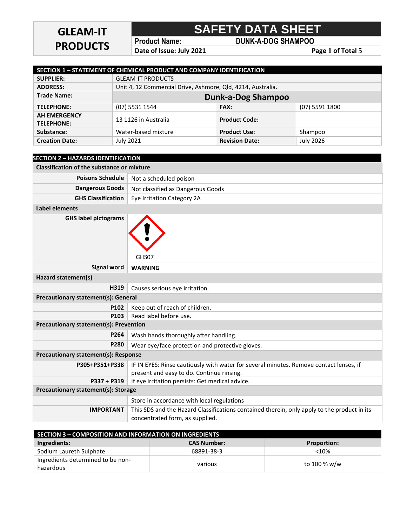## **GLEAM-IT PRODUCTS**

# **SAFETY DATA SHEET**

**Product Name: DUNK-A-DOG SHAMPOO**

**Date of Issue: July 2021** Page 1 of Total 5

| SECTION 1 - STATEMENT OF CHEMICAL PRODUCT AND COMPANY IDENTIFICATION |                                                             |                           |                  |
|----------------------------------------------------------------------|-------------------------------------------------------------|---------------------------|------------------|
| <b>SUPPLIER:</b>                                                     | <b>GLEAM-IT PRODUCTS</b>                                    |                           |                  |
| <b>ADDRESS:</b>                                                      | Unit 4, 12 Commercial Drive, Ashmore, Qld, 4214, Australia. |                           |                  |
| <b>Trade Name:</b>                                                   |                                                             | <b>Dunk-a-Dog Shampoo</b> |                  |
| <b>TELEPHONE:</b>                                                    | (07) 5531 1544                                              | <b>FAX:</b>               | (07) 5591 1800   |
| <b>AH EMERGENCY</b><br><b>TELEPHONE:</b>                             | 13 1126 in Australia                                        | <b>Product Code:</b>      |                  |
| Substance:                                                           | Water-based mixture                                         | <b>Product Use:</b>       | Shampoo          |
| <b>Creation Date:</b>                                                | July 2021                                                   | <b>Revision Date:</b>     | <b>July 2026</b> |

| <b>SECTION 2 - HAZARDS IDENTIFICATION</b>         |                                                                                                                                     |  |
|---------------------------------------------------|-------------------------------------------------------------------------------------------------------------------------------------|--|
| <b>Classification of the substance or mixture</b> |                                                                                                                                     |  |
| <b>Poisons Schedule</b>                           | Not a scheduled poison                                                                                                              |  |
| <b>Dangerous Goods</b>                            | Not classified as Dangerous Goods                                                                                                   |  |
| <b>GHS Classification</b>                         | Eye Irritation Category 2A                                                                                                          |  |
| <b>Label elements</b>                             |                                                                                                                                     |  |
| <b>GHS label pictograms</b>                       | GHS07                                                                                                                               |  |
| <b>Signal word</b>                                | <b>WARNING</b>                                                                                                                      |  |
| Hazard statement(s)                               |                                                                                                                                     |  |
| H319                                              | Causes serious eye irritation.                                                                                                      |  |
| Precautionary statement(s): General               |                                                                                                                                     |  |
| P102                                              | Keep out of reach of children.                                                                                                      |  |
| P103                                              | Read label before use.                                                                                                              |  |
| <b>Precautionary statement(s): Prevention</b>     |                                                                                                                                     |  |
| P264                                              | Wash hands thoroughly after handling.                                                                                               |  |
| P280                                              | Wear eye/face protection and protective gloves.                                                                                     |  |
| Precautionary statement(s): Response              |                                                                                                                                     |  |
| P305+P351+P338                                    | IF IN EYES: Rinse cautiously with water for several minutes. Remove contact lenses, if<br>present and easy to do. Continue rinsing. |  |
| $P337 + P319$                                     | If eye irritation persists: Get medical advice.                                                                                     |  |
| Precautionary statement(s): Storage               |                                                                                                                                     |  |
|                                                   | Store in accordance with local regulations                                                                                          |  |
| <b>IMPORTANT</b>                                  | This SDS and the Hazard Classifications contained therein, only apply to the product in its<br>concentrated form, as supplied.      |  |

| SECTION 3 - COMPOSITION AND INFORMATION ON INGREDIENTS |                    |                    |
|--------------------------------------------------------|--------------------|--------------------|
| Ingredients:                                           | <b>CAS Number:</b> | <b>Proportion:</b> |
| Sodium Laureth Sulphate                                | 68891-38-3         | $<10\%$            |
| Ingredients determined to be non-<br>hazardous         | various            | to 100 % w/w       |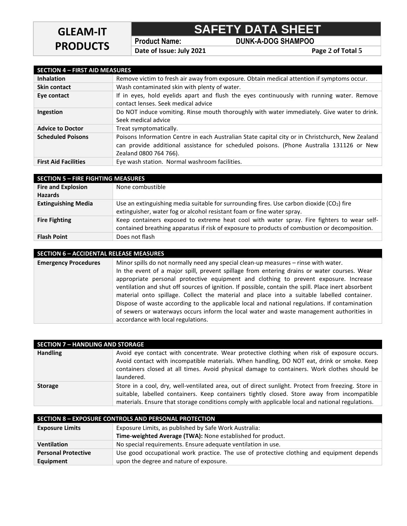### **SAFETY DATA SHEET**

**Product Name: DUNK-A-DOG SHAMPOO**

**Date of Issue: July 2021 Page 2 of Total 5** 

| <b>SECTION 4 - FIRST AID MEASURES</b> |                                                                                                                                                                                                                       |
|---------------------------------------|-----------------------------------------------------------------------------------------------------------------------------------------------------------------------------------------------------------------------|
| <b>Inhalation</b>                     | Remove victim to fresh air away from exposure. Obtain medical attention if symptoms occur.                                                                                                                            |
| <b>Skin contact</b>                   | Wash contaminated skin with plenty of water.                                                                                                                                                                          |
| Eye contact                           | If in eyes, hold eyelids apart and flush the eyes continuously with running water. Remove<br>contact lenses. Seek medical advice                                                                                      |
| Ingestion                             | Do NOT induce vomiting. Rinse mouth thoroughly with water immediately. Give water to drink.<br>Seek medical advice                                                                                                    |
| <b>Advice to Doctor</b>               | Treat symptomatically.                                                                                                                                                                                                |
| <b>Scheduled Poisons</b>              | Poisons Information Centre in each Australian State capital city or in Christchurch, New Zealand<br>can provide additional assistance for scheduled poisons. (Phone Australia 131126 or New<br>Zealand 0800 764 766). |
| <b>First Aid Facilities</b>           | Eye wash station. Normal washroom facilities.                                                                                                                                                                         |

| <b>SECTION 5 - FIRE FIGHTING MEASURES</b> |                                                                                               |  |
|-------------------------------------------|-----------------------------------------------------------------------------------------------|--|
| <b>Fire and Explosion</b>                 | None combustible                                                                              |  |
| <b>Hazards</b>                            |                                                                                               |  |
| <b>Extinguishing Media</b>                | Use an extinguishing media suitable for surrounding fires. Use carbon dioxide $(CO2)$ fire    |  |
|                                           | extinguisher, water fog or alcohol resistant foam or fine water spray.                        |  |
| <b>Fire Fighting</b>                      | Keep containers exposed to extreme heat cool with water spray. Fire fighters to wear self-    |  |
|                                           | contained breathing apparatus if risk of exposure to products of combustion or decomposition. |  |
| <b>Flash Point</b>                        | Does not flash                                                                                |  |

| <b>SECTION 6 - ACCIDENTAL RELEASE MEASURES</b> |  |  |
|------------------------------------------------|--|--|
|                                                |  |  |
|                                                |  |  |

**Emergency Procedures** Minor spills do not normally need any special clean-up measures – rinse with water. In the event of a major spill, prevent spillage from entering drains or water courses. Wear appropriate personal protective equipment and clothing to prevent exposure. Increase ventilation and shut off sources of ignition. If possible, contain the spill. Place inert absorbent material onto spillage. Collect the material and place into a suitable labelled container. Dispose of waste according to the applicable local and national regulations. If contamination of sewers or waterways occurs inform the local water and waste management authorities in accordance with local regulations.

| <b>SECTION 7 - HANDLING AND STORAGE</b> |                                                                                                                                                                                                                                                                                                        |  |
|-----------------------------------------|--------------------------------------------------------------------------------------------------------------------------------------------------------------------------------------------------------------------------------------------------------------------------------------------------------|--|
| <b>Handling</b>                         | Avoid eye contact with concentrate. Wear protective clothing when risk of exposure occurs.<br>Avoid contact with incompatible materials. When handling, DO NOT eat, drink or smoke. Keep<br>containers closed at all times. Avoid physical damage to containers. Work clothes should be<br>laundered.  |  |
| <b>Storage</b>                          | Store in a cool, dry, well-ventilated area, out of direct sunlight. Protect from freezing. Store in<br>suitable, labelled containers. Keep containers tightly closed. Store away from incompatible<br>materials. Ensure that storage conditions comply with applicable local and national regulations. |  |

| SECTION 8 - EXPOSURE CONTROLS AND PERSONAL PROTECTION |                                                                                           |  |
|-------------------------------------------------------|-------------------------------------------------------------------------------------------|--|
| <b>Exposure Limits</b>                                | Exposure Limits, as published by Safe Work Australia:                                     |  |
|                                                       | Time-weighted Average (TWA): None established for product.                                |  |
| <b>Ventilation</b>                                    | No special requirements. Ensure adequate ventilation in use.                              |  |
| <b>Personal Protective</b>                            | Use good occupational work practice. The use of protective clothing and equipment depends |  |
| Equipment                                             | upon the degree and nature of exposure.                                                   |  |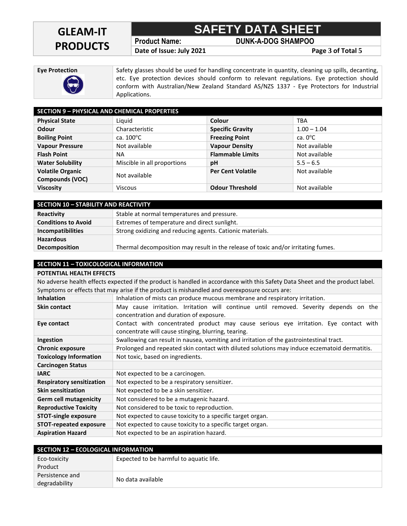## **GLEAM-IT PRODUCTS**

**SAFETY DATA SHEET**

**Product Name: DUNK-A-DOG SHAMPOO**

**Date of Issue: July 2021 Page 3 of Total 5**

**Eye Protection** Safety glasses should be used for handling concentrate in quantity, cleaning up spills, decanting, etc. Eye protection devices should conform to relevant regulations. Eye protection should conform with Australian/New Zealand Standard AS/NZS 1337 - Eye Protectors for Industrial Applications.

| <b>SECTION 9 - PHYSICAL AND CHEMICAL PROPERTIES</b> |                             |                          |                   |
|-----------------------------------------------------|-----------------------------|--------------------------|-------------------|
| <b>Physical State</b>                               | Liquid                      | Colour                   | TBA               |
| Odour                                               | Characteristic              | <b>Specific Gravity</b>  | $1.00 - 1.04$     |
| <b>Boiling Point</b>                                | ca. $100^{\circ}$ C         | <b>Freezing Point</b>    | ca. $0^{\circ}$ C |
| <b>Vapour Pressure</b>                              | Not available               | <b>Vapour Density</b>    | Not available     |
| <b>Flash Point</b>                                  | <b>NA</b>                   | <b>Flammable Limits</b>  | Not available     |
| <b>Water Solubility</b>                             | Miscible in all proportions | pH                       | $5.5 - 6.5$       |
| <b>Volatile Organic</b>                             | Not available               | <b>Per Cent Volatile</b> | Not available     |
| Compounds (VOC)                                     |                             |                          |                   |
| <b>Viscosity</b>                                    | Viscous                     | <b>Odour Threshold</b>   | Not available     |

| <b>SECTION 10 - STABILITY AND REACTIVITY</b> |                                                                                   |  |
|----------------------------------------------|-----------------------------------------------------------------------------------|--|
| Reactivity                                   | Stable at normal temperatures and pressure.                                       |  |
| <b>Conditions to Avoid</b>                   | Extremes of temperature and direct sunlight.                                      |  |
| <b>Incompatibilities</b>                     | Strong oxidizing and reducing agents. Cationic materials.                         |  |
| <b>Hazardous</b>                             |                                                                                   |  |
| <b>Decomposition</b>                         | Thermal decomposition may result in the release of toxic and/or irritating fumes. |  |

#### **SECTION 11 – TOXICOLOGICAL INFORMATION**

**POTENTIAL HEALTH EFFECTS** No adverse health effects expected if the product is handled in accordance with this Safety Data Sheet and the product label. Symptoms or effects that may arise if the product is mishandled and overexposure occurs are: **Inhalation** Inhalation of mists can produce mucous membrane and respiratory irritation.

| <b>Skin contact</b>              | May cause irritation. Irritation will continue until removed. Severity depends on the<br>concentration and duration of exposure.            |
|----------------------------------|---------------------------------------------------------------------------------------------------------------------------------------------|
| Eye contact                      | Contact with concentrated product may cause serious eye irritation. Eye contact with<br>concentrate will cause stinging, blurring, tearing. |
| Ingestion                        | Swallowing can result in nausea, vomiting and irritation of the gastrointestinal tract.                                                     |
| <b>Chronic exposure</b>          | Prolonged and repeated skin contact with diluted solutions may induce eczematoid dermatitis.                                                |
| <b>Toxicology Information</b>    | Not toxic, based on ingredients.                                                                                                            |
| <b>Carcinogen Status</b>         |                                                                                                                                             |
| <b>IARC</b>                      | Not expected to be a carcinogen.                                                                                                            |
| <b>Respiratory sensitization</b> | Not expected to be a respiratory sensitizer.                                                                                                |
| <b>Skin sensitization</b>        | Not expected to be a skin sensitizer.                                                                                                       |
| <b>Germ cell mutagenicity</b>    | Not considered to be a mutagenic hazard.                                                                                                    |
| <b>Reproductive Toxicity</b>     | Not considered to be toxic to reproduction.                                                                                                 |
| <b>STOT-single exposure</b>      | Not expected to cause toxicity to a specific target organ.                                                                                  |
| <b>STOT-repeated exposure</b>    | Not expected to cause toxicity to a specific target organ.                                                                                  |
| <b>Aspiration Hazard</b>         | Not expected to be an aspiration hazard.                                                                                                    |

| <b>SECTION 12 - ECOLOGICAL INFORMATION</b> |                                         |
|--------------------------------------------|-----------------------------------------|
| Eco-toxicity                               | Expected to be harmful to aquatic life. |
| Product                                    |                                         |
| Persistence and                            |                                         |
| degradability                              | No data available                       |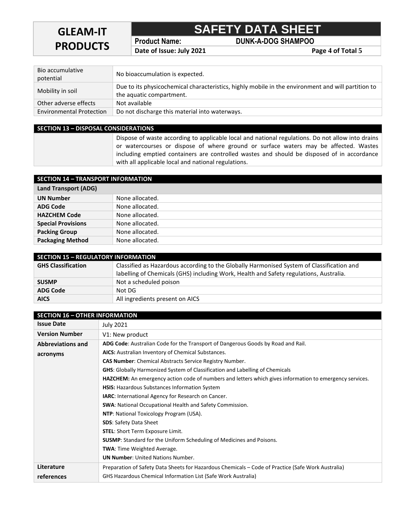### **GLEAM-IT PRODUCTS**

### **SAFETY DATA SHEET**

**Product Name: DUNK-A-DOG SHAMPOO**

**Date of Issue: July 2021 Page 4 of Total 5** 

| Bio accumulative<br>potential   | No bioaccumulation is expected.                                                                                                |
|---------------------------------|--------------------------------------------------------------------------------------------------------------------------------|
| Mobility in soil                | Due to its physicochemical characteristics, highly mobile in the environment and will partition to<br>the aquatic compartment. |
| Other adverse effects           | Not available                                                                                                                  |
| <b>Environmental Protection</b> | Do not discharge this material into waterways.                                                                                 |

#### **SECTION 13 – DISPOSAL CONSIDERATIONS** Dispose of waste according to applicable local and national regulations. Do not allow into drains or watercourses or dispose of where ground or surface waters may be affected. Wastes including emptied containers are controlled wastes and should be disposed of in accordance with all applicable local and national regulations.

| <b>SECTION 14 - TRANSPORT INFORMATION</b> |                 |  |  |  |
|-------------------------------------------|-----------------|--|--|--|
| <b>Land Transport (ADG)</b>               |                 |  |  |  |
| <b>UN Number</b>                          | None allocated. |  |  |  |
| <b>ADG Code</b>                           | None allocated. |  |  |  |
| <b>HAZCHEM Code</b>                       | None allocated. |  |  |  |
| <b>Special Provisions</b>                 | None allocated. |  |  |  |
| <b>Packing Group</b>                      | None allocated. |  |  |  |
| <b>Packaging Method</b>                   | None allocated. |  |  |  |

| <b>SECTION 15 - REGULATORY INFORMATION</b> |                                                                                           |  |  |  |
|--------------------------------------------|-------------------------------------------------------------------------------------------|--|--|--|
| <b>GHS Classification</b>                  | Classified as Hazardous according to the Globally Harmonised System of Classification and |  |  |  |
|                                            | labelling of Chemicals (GHS) including Work, Health and Safety regulations, Australia.    |  |  |  |
| <b>SUSMP</b>                               | Not a scheduled poison                                                                    |  |  |  |
| <b>ADG Code</b>                            | Not DG                                                                                    |  |  |  |
| <b>AICS</b>                                | All ingredients present on AICS                                                           |  |  |  |

| <b>SECTION 16 - OTHER INFORMATION</b> |                                                                                                                |  |  |  |  |
|---------------------------------------|----------------------------------------------------------------------------------------------------------------|--|--|--|--|
| <b>Issue Date</b>                     | <b>July 2021</b>                                                                                               |  |  |  |  |
| <b>Version Number</b>                 | V1: New product                                                                                                |  |  |  |  |
| <b>Abbreviations and</b>              | ADG Code: Australian Code for the Transport of Dangerous Goods by Road and Rail.                               |  |  |  |  |
| acronyms                              | AICS: Australian Inventory of Chemical Substances.                                                             |  |  |  |  |
|                                       | <b>CAS Number:</b> Chemical Abstracts Service Registry Number.                                                 |  |  |  |  |
|                                       | <b>GHS:</b> Globally Harmonized System of Classification and Labelling of Chemicals                            |  |  |  |  |
|                                       | <b>HAZCHEM:</b> An emergency action code of numbers and letters which gives information to emergency services. |  |  |  |  |
|                                       | <b>HSIS:</b> Hazardous Substances Information System                                                           |  |  |  |  |
|                                       | <b>IARC:</b> International Agency for Research on Cancer.                                                      |  |  |  |  |
|                                       | <b>SWA:</b> National Occupational Health and Safety Commission.                                                |  |  |  |  |
|                                       | NTP: National Toxicology Program (USA).                                                                        |  |  |  |  |
|                                       | <b>SDS: Safety Data Sheet</b>                                                                                  |  |  |  |  |
|                                       | <b>STEL:</b> Short Term Exposure Limit.                                                                        |  |  |  |  |
|                                       | <b>SUSMP:</b> Standard for the Uniform Scheduling of Medicines and Poisons.                                    |  |  |  |  |
|                                       | <b>TWA:</b> Time Weighted Average.                                                                             |  |  |  |  |
|                                       | <b>UN Number:</b> United Nations Number.                                                                       |  |  |  |  |
| Literature                            | Preparation of Safety Data Sheets for Hazardous Chemicals – Code of Practice (Safe Work Australia)             |  |  |  |  |
| references                            | <b>GHS Hazardous Chemical Information List (Safe Work Australia)</b>                                           |  |  |  |  |